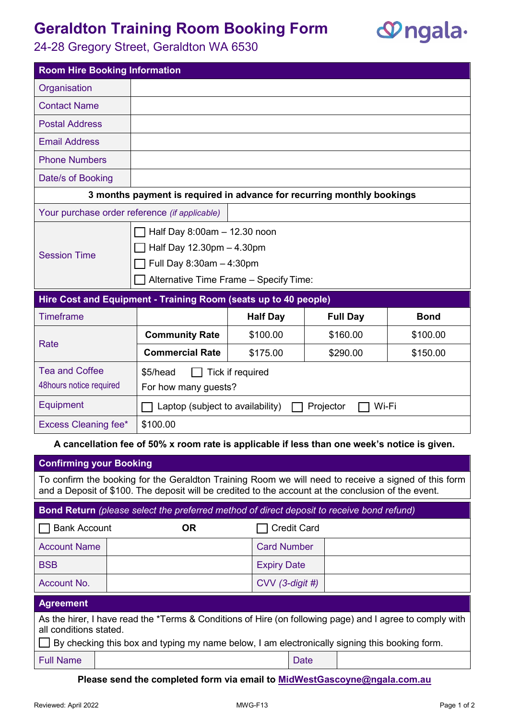# **Geraldton Training Room Booking Form**



### 24-28 Gregory Street, Geraldton WA 6530

| <b>Room Hire Booking Information</b>                                                         |                                                                                                                                 |                 |                 |             |  |  |  |  |
|----------------------------------------------------------------------------------------------|---------------------------------------------------------------------------------------------------------------------------------|-----------------|-----------------|-------------|--|--|--|--|
| Organisation                                                                                 |                                                                                                                                 |                 |                 |             |  |  |  |  |
| <b>Contact Name</b>                                                                          |                                                                                                                                 |                 |                 |             |  |  |  |  |
| <b>Postal Address</b>                                                                        |                                                                                                                                 |                 |                 |             |  |  |  |  |
| <b>Email Address</b>                                                                         |                                                                                                                                 |                 |                 |             |  |  |  |  |
| <b>Phone Numbers</b>                                                                         |                                                                                                                                 |                 |                 |             |  |  |  |  |
| Date/s of Booking                                                                            |                                                                                                                                 |                 |                 |             |  |  |  |  |
| 3 months payment is required in advance for recurring monthly bookings                       |                                                                                                                                 |                 |                 |             |  |  |  |  |
| Your purchase order reference (if applicable)                                                |                                                                                                                                 |                 |                 |             |  |  |  |  |
| <b>Session Time</b>                                                                          | Half Day 8:00am - 12.30 noon<br>Half Day 12.30pm - 4.30pm<br>Full Day 8:30am - 4:30pm<br>Alternative Time Frame - Specify Time: |                 |                 |             |  |  |  |  |
| Hire Cost and Equipment - Training Room (seats up to 40 people)                              |                                                                                                                                 |                 |                 |             |  |  |  |  |
| <b>Timeframe</b>                                                                             |                                                                                                                                 | <b>Half Day</b> | <b>Full Day</b> | <b>Bond</b> |  |  |  |  |
| <b>Rate</b>                                                                                  | <b>Community Rate</b>                                                                                                           | \$100.00        | \$160.00        | \$100.00    |  |  |  |  |
|                                                                                              | <b>Commercial Rate</b>                                                                                                          | \$175.00        | \$290.00        | \$150.00    |  |  |  |  |
| <b>Tea and Coffee</b>                                                                        | \$5/head<br>Tick if required                                                                                                    |                 |                 |             |  |  |  |  |
| 48hours notice required                                                                      | For how many guests?                                                                                                            |                 |                 |             |  |  |  |  |
| Equipment                                                                                    | Laptop (subject to availability)<br>Wi-Fi<br>Projector                                                                          |                 |                 |             |  |  |  |  |
| <b>Excess Cleaning fee*</b>                                                                  | \$100.00                                                                                                                        |                 |                 |             |  |  |  |  |
| A cancellation fee of 50% x room rate is applicable if less than one week's notice is given. |                                                                                                                                 |                 |                 |             |  |  |  |  |

**A cancellation fee of 50% x room rate is applicable if less than one week's notice is given.**

| <b>Confirming your Booking</b>                                                                                                                                                                                                      |           |                    |  |  |  |  |  |  |
|-------------------------------------------------------------------------------------------------------------------------------------------------------------------------------------------------------------------------------------|-----------|--------------------|--|--|--|--|--|--|
| To confirm the booking for the Geraldton Training Room we will need to receive a signed of this form<br>and a Deposit of \$100. The deposit will be credited to the account at the conclusion of the event.                         |           |                    |  |  |  |  |  |  |
| Bond Return (please select the preferred method of direct deposit to receive bond refund)                                                                                                                                           |           |                    |  |  |  |  |  |  |
| <b>Bank Account</b>                                                                                                                                                                                                                 | <b>OR</b> | <b>Credit Card</b> |  |  |  |  |  |  |
| <b>Account Name</b>                                                                                                                                                                                                                 |           | <b>Card Number</b> |  |  |  |  |  |  |
| <b>BSB</b>                                                                                                                                                                                                                          |           | <b>Expiry Date</b> |  |  |  |  |  |  |
| Account No.                                                                                                                                                                                                                         |           | $CVV$ (3-digit #)  |  |  |  |  |  |  |
| <b>Agreement</b>                                                                                                                                                                                                                    |           |                    |  |  |  |  |  |  |
| As the hirer, I have read the *Terms & Conditions of Hire (on following page) and I agree to comply with<br>all conditions stated.<br>By checking this box and typing my name below, I am electronically signing this booking form. |           |                    |  |  |  |  |  |  |
| <b>Full Name</b>                                                                                                                                                                                                                    |           | Date               |  |  |  |  |  |  |

**Please send the completed form via email to [MidWestGascoyne@ngala.com.au](mailto:MidWestGascoyne@ngala.com.au)**